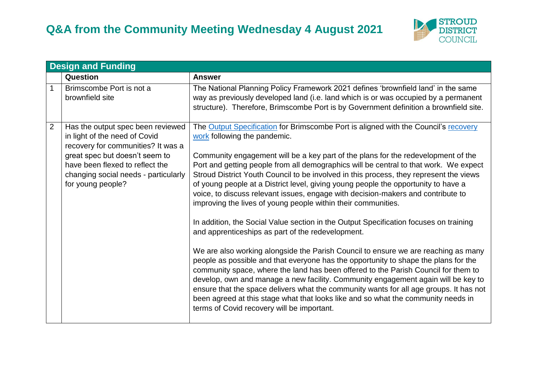

|   | <b>Design and Funding</b>                                                                                                                                                                                                                  |                                                                                                                                                                                                                                                                                                                                                                                                                                                                                                                                                                                                                                                                                                                                                                                                                                                                                                                                                                                                                                                                                                                                                                                                                                                                                                                                                                           |  |
|---|--------------------------------------------------------------------------------------------------------------------------------------------------------------------------------------------------------------------------------------------|---------------------------------------------------------------------------------------------------------------------------------------------------------------------------------------------------------------------------------------------------------------------------------------------------------------------------------------------------------------------------------------------------------------------------------------------------------------------------------------------------------------------------------------------------------------------------------------------------------------------------------------------------------------------------------------------------------------------------------------------------------------------------------------------------------------------------------------------------------------------------------------------------------------------------------------------------------------------------------------------------------------------------------------------------------------------------------------------------------------------------------------------------------------------------------------------------------------------------------------------------------------------------------------------------------------------------------------------------------------------------|--|
|   | Question                                                                                                                                                                                                                                   | <b>Answer</b>                                                                                                                                                                                                                                                                                                                                                                                                                                                                                                                                                                                                                                                                                                                                                                                                                                                                                                                                                                                                                                                                                                                                                                                                                                                                                                                                                             |  |
| 1 | Brimscombe Port is not a<br>brownfield site                                                                                                                                                                                                | The National Planning Policy Framework 2021 defines 'brownfield land' in the same<br>way as previously developed land (i.e. land which is or was occupied by a permanent<br>structure). Therefore, Brimscombe Port is by Government definition a brownfield site.                                                                                                                                                                                                                                                                                                                                                                                                                                                                                                                                                                                                                                                                                                                                                                                                                                                                                                                                                                                                                                                                                                         |  |
| 2 | Has the output spec been reviewed<br>in light of the need of Covid<br>recovery for communities? It was a<br>great spec but doesn't seem to<br>have been flexed to reflect the<br>changing social needs - particularly<br>for young people? | The Output Specification for Brimscombe Port is aligned with the Council's recovery<br>work following the pandemic.<br>Community engagement will be a key part of the plans for the redevelopment of the<br>Port and getting people from all demographics will be central to that work. We expect<br>Stroud District Youth Council to be involved in this process, they represent the views<br>of young people at a District level, giving young people the opportunity to have a<br>voice, to discuss relevant issues, engage with decision-makers and contribute to<br>improving the lives of young people within their communities.<br>In addition, the Social Value section in the Output Specification focuses on training<br>and apprenticeships as part of the redevelopment.<br>We are also working alongside the Parish Council to ensure we are reaching as many<br>people as possible and that everyone has the opportunity to shape the plans for the<br>community space, where the land has been offered to the Parish Council for them to<br>develop, own and manage a new facility. Community engagement again will be key to<br>ensure that the space delivers what the community wants for all age groups. It has not<br>been agreed at this stage what that looks like and so what the community needs in<br>terms of Covid recovery will be important. |  |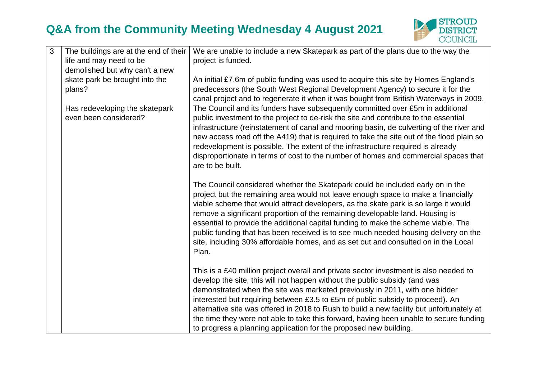

| 3 | The buildings are at the end of their                   | We are unable to include a new Skatepark as part of the plans due to the way the                                                                                                                                                                                                                                                                                                                                                                                                                                                                                                                                        |
|---|---------------------------------------------------------|-------------------------------------------------------------------------------------------------------------------------------------------------------------------------------------------------------------------------------------------------------------------------------------------------------------------------------------------------------------------------------------------------------------------------------------------------------------------------------------------------------------------------------------------------------------------------------------------------------------------------|
|   | life and may need to be                                 | project is funded.                                                                                                                                                                                                                                                                                                                                                                                                                                                                                                                                                                                                      |
|   | demolished but why can't a new                          |                                                                                                                                                                                                                                                                                                                                                                                                                                                                                                                                                                                                                         |
|   | skate park be brought into the                          | An initial £7.6m of public funding was used to acquire this site by Homes England's                                                                                                                                                                                                                                                                                                                                                                                                                                                                                                                                     |
|   | plans?                                                  | predecessors (the South West Regional Development Agency) to secure it for the<br>canal project and to regenerate it when it was bought from British Waterways in 2009.                                                                                                                                                                                                                                                                                                                                                                                                                                                 |
|   | Has redeveloping the skatepark<br>even been considered? | The Council and its funders have subsequently committed over £5m in additional<br>public investment to the project to de-risk the site and contribute to the essential                                                                                                                                                                                                                                                                                                                                                                                                                                                  |
|   |                                                         | infrastructure (reinstatement of canal and mooring basin, de culverting of the river and<br>new access road off the A419) that is required to take the site out of the flood plain so<br>redevelopment is possible. The extent of the infrastructure required is already<br>disproportionate in terms of cost to the number of homes and commercial spaces that                                                                                                                                                                                                                                                         |
|   |                                                         | are to be built.                                                                                                                                                                                                                                                                                                                                                                                                                                                                                                                                                                                                        |
|   |                                                         | The Council considered whether the Skatepark could be included early on in the<br>project but the remaining area would not leave enough space to make a financially<br>viable scheme that would attract developers, as the skate park is so large it would<br>remove a significant proportion of the remaining developable land. Housing is<br>essential to provide the additional capital funding to make the scheme viable. The<br>public funding that has been received is to see much needed housing delivery on the<br>site, including 30% affordable homes, and as set out and consulted on in the Local<br>Plan. |
|   |                                                         | This is a £40 million project overall and private sector investment is also needed to<br>develop the site, this will not happen without the public subsidy (and was<br>demonstrated when the site was marketed previously in 2011, with one bidder<br>interested but requiring between £3.5 to £5m of public subsidy to proceed). An<br>alternative site was offered in 2018 to Rush to build a new facility but unfortunately at                                                                                                                                                                                       |
|   |                                                         | the time they were not able to take this forward, having been unable to secure funding<br>to progress a planning application for the proposed new building.                                                                                                                                                                                                                                                                                                                                                                                                                                                             |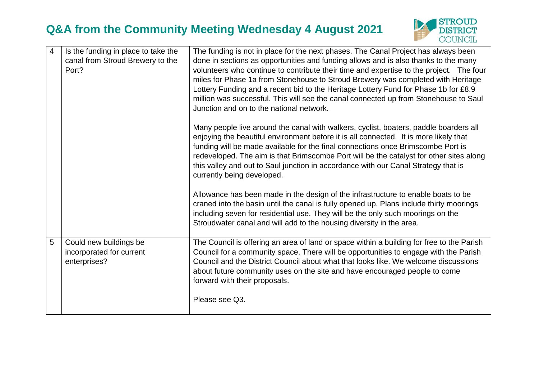

| $\overline{4}$ | Is the funding in place to take the<br>canal from Stroud Brewery to the<br>Port? | The funding is not in place for the next phases. The Canal Project has always been<br>done in sections as opportunities and funding allows and is also thanks to the many<br>volunteers who continue to contribute their time and expertise to the project. The four<br>miles for Phase 1a from Stonehouse to Stroud Brewery was completed with Heritage<br>Lottery Funding and a recent bid to the Heritage Lottery Fund for Phase 1b for £8.9<br>million was successful. This will see the canal connected up from Stonehouse to Saul<br>Junction and on to the national network. |
|----------------|----------------------------------------------------------------------------------|-------------------------------------------------------------------------------------------------------------------------------------------------------------------------------------------------------------------------------------------------------------------------------------------------------------------------------------------------------------------------------------------------------------------------------------------------------------------------------------------------------------------------------------------------------------------------------------|
|                |                                                                                  | Many people live around the canal with walkers, cyclist, boaters, paddle boarders all<br>enjoying the beautiful environment before it is all connected. It is more likely that<br>funding will be made available for the final connections once Brimscombe Port is<br>redeveloped. The aim is that Brimscombe Port will be the catalyst for other sites along<br>this valley and out to Saul junction in accordance with our Canal Strategy that is<br>currently being developed.                                                                                                   |
|                |                                                                                  | Allowance has been made in the design of the infrastructure to enable boats to be<br>craned into the basin until the canal is fully opened up. Plans include thirty moorings<br>including seven for residential use. They will be the only such moorings on the<br>Stroudwater canal and will add to the housing diversity in the area.                                                                                                                                                                                                                                             |
| 5              | Could new buildings be<br>incorporated for current<br>enterprises?               | The Council is offering an area of land or space within a building for free to the Parish<br>Council for a community space. There will be opportunities to engage with the Parish<br>Council and the District Council about what that looks like. We welcome discussions<br>about future community uses on the site and have encouraged people to come<br>forward with their proposals.                                                                                                                                                                                             |
|                |                                                                                  | Please see Q3.                                                                                                                                                                                                                                                                                                                                                                                                                                                                                                                                                                      |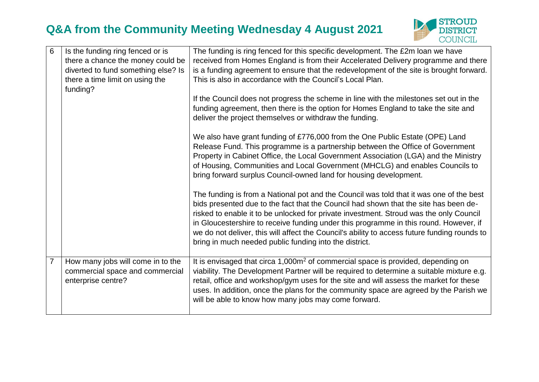

| 6              | Is the funding ring fenced or is<br>there a chance the money could be<br>diverted to fund something else? Is<br>there a time limit on using the<br>funding? | The funding is ring fenced for this specific development. The £2m loan we have<br>received from Homes England is from their Accelerated Delivery programme and there<br>is a funding agreement to ensure that the redevelopment of the site is brought forward.<br>This is also in accordance with the Council's Local Plan.                                                                                                                                                                                                 |
|----------------|-------------------------------------------------------------------------------------------------------------------------------------------------------------|------------------------------------------------------------------------------------------------------------------------------------------------------------------------------------------------------------------------------------------------------------------------------------------------------------------------------------------------------------------------------------------------------------------------------------------------------------------------------------------------------------------------------|
|                |                                                                                                                                                             | If the Council does not progress the scheme in line with the milestones set out in the<br>funding agreement, then there is the option for Homes England to take the site and<br>deliver the project themselves or withdraw the funding.                                                                                                                                                                                                                                                                                      |
|                |                                                                                                                                                             | We also have grant funding of £776,000 from the One Public Estate (OPE) Land<br>Release Fund. This programme is a partnership between the Office of Government<br>Property in Cabinet Office, the Local Government Association (LGA) and the Ministry<br>of Housing, Communities and Local Government (MHCLG) and enables Councils to<br>bring forward surplus Council-owned land for housing development.                                                                                                                   |
|                |                                                                                                                                                             | The funding is from a National pot and the Council was told that it was one of the best<br>bids presented due to the fact that the Council had shown that the site has been de-<br>risked to enable it to be unlocked for private investment. Stroud was the only Council<br>in Gloucestershire to receive funding under this programme in this round. However, if<br>we do not deliver, this will affect the Council's ability to access future funding rounds to<br>bring in much needed public funding into the district. |
| $\overline{7}$ | How many jobs will come in to the<br>commercial space and commercial<br>enterprise centre?                                                                  | It is envisaged that circa 1,000m <sup>2</sup> of commercial space is provided, depending on<br>viability. The Development Partner will be required to determine a suitable mixture e.g.<br>retail, office and workshop/gym uses for the site and will assess the market for these<br>uses. In addition, once the plans for the community space are agreed by the Parish we<br>will be able to know how many jobs may come forward.                                                                                          |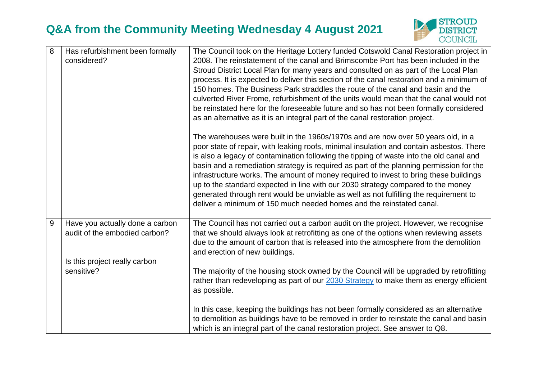

| 8 | Has refurbishment been formally<br>considered?                                                                  | The Council took on the Heritage Lottery funded Cotswold Canal Restoration project in<br>2008. The reinstatement of the canal and Brimscombe Port has been included in the<br>Stroud District Local Plan for many years and consulted on as part of the Local Plan<br>process. It is expected to deliver this section of the canal restoration and a minimum of<br>150 homes. The Business Park straddles the route of the canal and basin and the<br>culverted River Frome, refurbishment of the units would mean that the canal would not<br>be reinstated here for the foreseeable future and so has not been formally considered<br>as an alternative as it is an integral part of the canal restoration project. |
|---|-----------------------------------------------------------------------------------------------------------------|-----------------------------------------------------------------------------------------------------------------------------------------------------------------------------------------------------------------------------------------------------------------------------------------------------------------------------------------------------------------------------------------------------------------------------------------------------------------------------------------------------------------------------------------------------------------------------------------------------------------------------------------------------------------------------------------------------------------------|
|   |                                                                                                                 | The warehouses were built in the 1960s/1970s and are now over 50 years old, in a<br>poor state of repair, with leaking roofs, minimal insulation and contain asbestos. There<br>is also a legacy of contamination following the tipping of waste into the old canal and<br>basin and a remediation strategy is required as part of the planning permission for the<br>infrastructure works. The amount of money required to invest to bring these buildings<br>up to the standard expected in line with our 2030 strategy compared to the money<br>generated through rent would be unviable as well as not fulfilling the requirement to<br>deliver a minimum of 150 much needed homes and the reinstated canal.      |
| 9 | Have you actually done a carbon<br>audit of the embodied carbon?<br>Is this project really carbon<br>sensitive? | The Council has not carried out a carbon audit on the project. However, we recognise<br>that we should always look at retrofitting as one of the options when reviewing assets<br>due to the amount of carbon that is released into the atmosphere from the demolition<br>and erection of new buildings.                                                                                                                                                                                                                                                                                                                                                                                                              |
|   |                                                                                                                 | The majority of the housing stock owned by the Council will be upgraded by retrofitting<br>rather than redeveloping as part of our 2030 Strategy to make them as energy efficient<br>as possible.<br>In this case, keeping the buildings has not been formally considered as an alternative<br>to demolition as buildings have to be removed in order to reinstate the canal and basin<br>which is an integral part of the canal restoration project. See answer to Q8.                                                                                                                                                                                                                                               |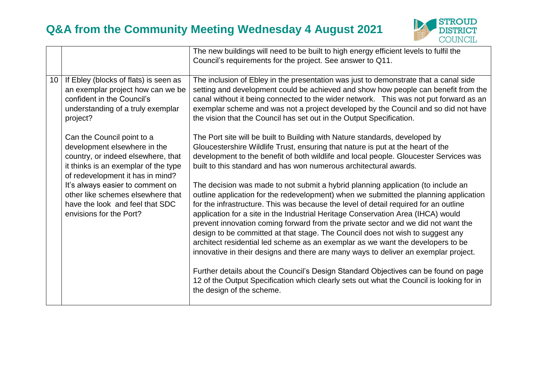

|    |                                                                                                                                                                              | The new buildings will need to be built to high energy efficient levels to fulfil the                                                                                                                                                                                                                                                                                                                                                                                                                                                                                                                                                                                                                  |
|----|------------------------------------------------------------------------------------------------------------------------------------------------------------------------------|--------------------------------------------------------------------------------------------------------------------------------------------------------------------------------------------------------------------------------------------------------------------------------------------------------------------------------------------------------------------------------------------------------------------------------------------------------------------------------------------------------------------------------------------------------------------------------------------------------------------------------------------------------------------------------------------------------|
|    |                                                                                                                                                                              | Council's requirements for the project. See answer to Q11.                                                                                                                                                                                                                                                                                                                                                                                                                                                                                                                                                                                                                                             |
|    |                                                                                                                                                                              |                                                                                                                                                                                                                                                                                                                                                                                                                                                                                                                                                                                                                                                                                                        |
| 10 | If Ebley (blocks of flats) is seen as<br>an exemplar project how can we be<br>confident in the Council's<br>understanding of a truly exemplar<br>project?                    | The inclusion of Ebley in the presentation was just to demonstrate that a canal side<br>setting and development could be achieved and show how people can benefit from the<br>canal without it being connected to the wider network. This was not put forward as an<br>exemplar scheme and was not a project developed by the Council and so did not have<br>the vision that the Council has set out in the Output Specification.                                                                                                                                                                                                                                                                      |
|    | Can the Council point to a<br>development elsewhere in the<br>country, or indeed elsewhere, that<br>it thinks is an exemplar of the type<br>of redevelopment it has in mind? | The Port site will be built to Building with Nature standards, developed by<br>Gloucestershire Wildlife Trust, ensuring that nature is put at the heart of the<br>development to the benefit of both wildlife and local people. Gloucester Services was<br>built to this standard and has won numerous architectural awards.                                                                                                                                                                                                                                                                                                                                                                           |
|    | It's always easier to comment on<br>other like schemes elsewhere that<br>have the look and feel that SDC<br>envisions for the Port?                                          | The decision was made to not submit a hybrid planning application (to include an<br>outline application for the redevelopment) when we submitted the planning application<br>for the infrastructure. This was because the level of detail required for an outline<br>application for a site in the Industrial Heritage Conservation Area (IHCA) would<br>prevent innovation coming forward from the private sector and we did not want the<br>design to be committed at that stage. The Council does not wish to suggest any<br>architect residential led scheme as an exemplar as we want the developers to be<br>innovative in their designs and there are many ways to deliver an exemplar project. |
|    |                                                                                                                                                                              | Further details about the Council's Design Standard Objectives can be found on page<br>12 of the Output Specification which clearly sets out what the Council is looking for in<br>the design of the scheme.                                                                                                                                                                                                                                                                                                                                                                                                                                                                                           |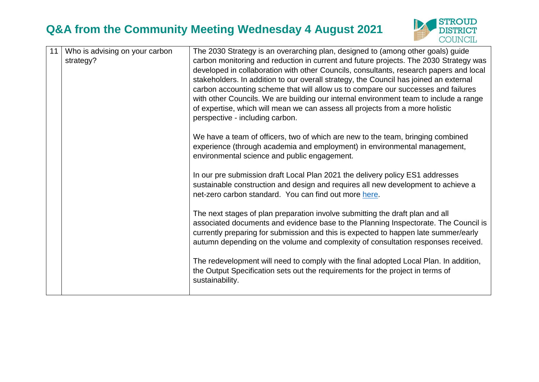

| 11 | Who is advising on your carbon<br>strategy? | The 2030 Strategy is an overarching plan, designed to (among other goals) guide<br>carbon monitoring and reduction in current and future projects. The 2030 Strategy was<br>developed in collaboration with other Councils, consultants, research papers and local<br>stakeholders. In addition to our overall strategy, the Council has joined an external<br>carbon accounting scheme that will allow us to compare our successes and failures<br>with other Councils. We are building our internal environment team to include a range<br>of expertise, which will mean we can assess all projects from a more holistic<br>perspective - including carbon. |
|----|---------------------------------------------|---------------------------------------------------------------------------------------------------------------------------------------------------------------------------------------------------------------------------------------------------------------------------------------------------------------------------------------------------------------------------------------------------------------------------------------------------------------------------------------------------------------------------------------------------------------------------------------------------------------------------------------------------------------|
|    |                                             | We have a team of officers, two of which are new to the team, bringing combined<br>experience (through academia and employment) in environmental management,<br>environmental science and public engagement.                                                                                                                                                                                                                                                                                                                                                                                                                                                  |
|    |                                             | In our pre submission draft Local Plan 2021 the delivery policy ES1 addresses<br>sustainable construction and design and requires all new development to achieve a<br>net-zero carbon standard. You can find out more here.                                                                                                                                                                                                                                                                                                                                                                                                                                   |
|    |                                             | The next stages of plan preparation involve submitting the draft plan and all<br>associated documents and evidence base to the Planning Inspectorate. The Council is<br>currently preparing for submission and this is expected to happen late summer/early<br>autumn depending on the volume and complexity of consultation responses received.                                                                                                                                                                                                                                                                                                              |
|    |                                             | The redevelopment will need to comply with the final adopted Local Plan. In addition,<br>the Output Specification sets out the requirements for the project in terms of<br>sustainability.                                                                                                                                                                                                                                                                                                                                                                                                                                                                    |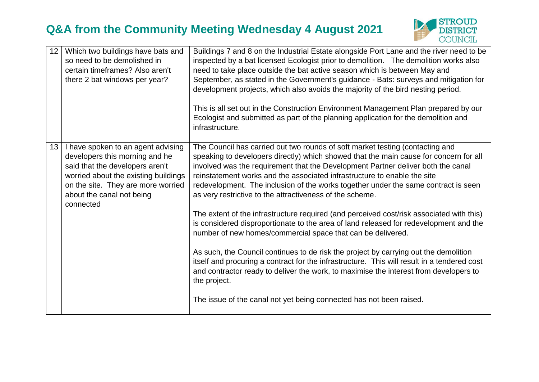

| 12 | Which two buildings have bats and<br>so need to be demolished in<br>certain timeframes? Also aren't<br>there 2 bat windows per year?                                                                                            | Buildings 7 and 8 on the Industrial Estate alongside Port Lane and the river need to be<br>inspected by a bat licensed Ecologist prior to demolition. The demolition works also<br>need to take place outside the bat active season which is between May and<br>September, as stated in the Government's guidance - Bats: surveys and mitigation for<br>development projects, which also avoids the majority of the bird nesting period.<br>This is all set out in the Construction Environment Management Plan prepared by our<br>Ecologist and submitted as part of the planning application for the demolition and<br>infrastructure.                                                                                                                                                                                                                                                                                                                                                                                                                                                                            |
|----|---------------------------------------------------------------------------------------------------------------------------------------------------------------------------------------------------------------------------------|---------------------------------------------------------------------------------------------------------------------------------------------------------------------------------------------------------------------------------------------------------------------------------------------------------------------------------------------------------------------------------------------------------------------------------------------------------------------------------------------------------------------------------------------------------------------------------------------------------------------------------------------------------------------------------------------------------------------------------------------------------------------------------------------------------------------------------------------------------------------------------------------------------------------------------------------------------------------------------------------------------------------------------------------------------------------------------------------------------------------|
| 13 | I have spoken to an agent advising<br>developers this morning and he<br>said that the developers aren't<br>worried about the existing buildings<br>on the site. They are more worried<br>about the canal not being<br>connected | The Council has carried out two rounds of soft market testing (contacting and<br>speaking to developers directly) which showed that the main cause for concern for all<br>involved was the requirement that the Development Partner deliver both the canal<br>reinstatement works and the associated infrastructure to enable the site<br>redevelopment. The inclusion of the works together under the same contract is seen<br>as very restrictive to the attractiveness of the scheme.<br>The extent of the infrastructure required (and perceived cost/risk associated with this)<br>is considered disproportionate to the area of land released for redevelopment and the<br>number of new homes/commercial space that can be delivered.<br>As such, the Council continues to de risk the project by carrying out the demolition<br>itself and procuring a contract for the infrastructure. This will result in a tendered cost<br>and contractor ready to deliver the work, to maximise the interest from developers to<br>the project.<br>The issue of the canal not yet being connected has not been raised. |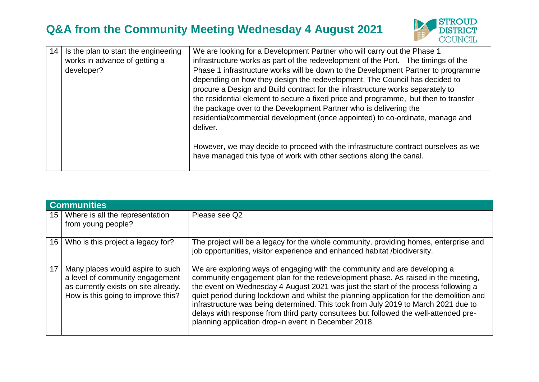

| 14 | Is the plan to start the engineering<br>works in advance of getting a<br>developer? | We are looking for a Development Partner who will carry out the Phase 1<br>infrastructure works as part of the redevelopment of the Port. The timings of the<br>Phase 1 infrastructure works will be down to the Development Partner to programme<br>depending on how they design the redevelopment. The Council has decided to<br>procure a Design and Build contract for the infrastructure works separately to<br>the residential element to secure a fixed price and programme, but then to transfer<br>the package over to the Development Partner who is delivering the<br>residential/commercial development (once appointed) to co-ordinate, manage and<br>deliver. |
|----|-------------------------------------------------------------------------------------|-----------------------------------------------------------------------------------------------------------------------------------------------------------------------------------------------------------------------------------------------------------------------------------------------------------------------------------------------------------------------------------------------------------------------------------------------------------------------------------------------------------------------------------------------------------------------------------------------------------------------------------------------------------------------------|
|    |                                                                                     | However, we may decide to proceed with the infrastructure contract ourselves as we<br>have managed this type of work with other sections along the canal.                                                                                                                                                                                                                                                                                                                                                                                                                                                                                                                   |

|                 | <b>Communities</b>                                                                                                                                |                                                                                                                                                                                                                                                                                                                                                                                                                                                                                                                                                                                      |  |
|-----------------|---------------------------------------------------------------------------------------------------------------------------------------------------|--------------------------------------------------------------------------------------------------------------------------------------------------------------------------------------------------------------------------------------------------------------------------------------------------------------------------------------------------------------------------------------------------------------------------------------------------------------------------------------------------------------------------------------------------------------------------------------|--|
| 15 <sup>1</sup> | Where is all the representation<br>from young people?                                                                                             | Please see Q2                                                                                                                                                                                                                                                                                                                                                                                                                                                                                                                                                                        |  |
| 16              | Who is this project a legacy for?                                                                                                                 | The project will be a legacy for the whole community, providing homes, enterprise and<br>job opportunities, visitor experience and enhanced habitat /biodiversity.                                                                                                                                                                                                                                                                                                                                                                                                                   |  |
| 17              | Many places would aspire to such<br>a level of community engagement<br>as currently exists on site already.<br>How is this going to improve this? | We are exploring ways of engaging with the community and are developing a<br>community engagement plan for the redevelopment phase. As raised in the meeting,<br>the event on Wednesday 4 August 2021 was just the start of the process following a<br>quiet period during lockdown and whilst the planning application for the demolition and<br>infrastructure was being determined. This took from July 2019 to March 2021 due to<br>delays with response from third party consultees but followed the well-attended pre-<br>planning application drop-in event in December 2018. |  |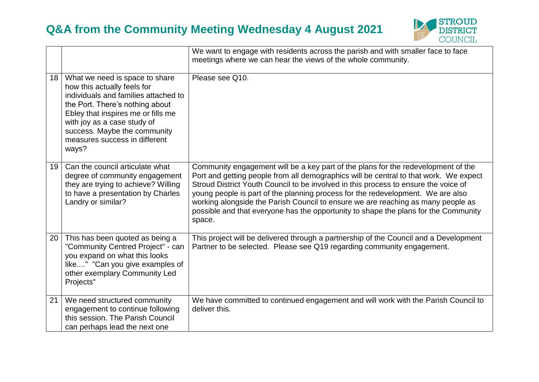

|                 |                                                                                                                                                                                                                                                                                         | We want to engage with residents across the parish and with smaller face to face<br>meetings where we can hear the views of the whole community.                                                                                                                                                                                                                                                                                                                                                                                          |
|-----------------|-----------------------------------------------------------------------------------------------------------------------------------------------------------------------------------------------------------------------------------------------------------------------------------------|-------------------------------------------------------------------------------------------------------------------------------------------------------------------------------------------------------------------------------------------------------------------------------------------------------------------------------------------------------------------------------------------------------------------------------------------------------------------------------------------------------------------------------------------|
| 18 <sup>1</sup> | What we need is space to share<br>how this actually feels for<br>individuals and families attached to<br>the Port. There's nothing about<br>Ebley that inspires me or fills me<br>with joy as a case study of<br>success. Maybe the community<br>measures success in different<br>ways? | Please see Q10.                                                                                                                                                                                                                                                                                                                                                                                                                                                                                                                           |
| 19 <sup>1</sup> | Can the council articulate what<br>degree of community engagement<br>they are trying to achieve? Willing<br>to have a presentation by Charles<br>Landry or similar?                                                                                                                     | Community engagement will be a key part of the plans for the redevelopment of the<br>Port and getting people from all demographics will be central to that work. We expect<br>Stroud District Youth Council to be involved in this process to ensure the voice of<br>young people is part of the planning process for the redevelopment. We are also<br>working alongside the Parish Council to ensure we are reaching as many people as<br>possible and that everyone has the opportunity to shape the plans for the Community<br>space. |
| 20              | This has been quoted as being a<br>"Community Centred Project" - can<br>you expand on what this looks<br>like" "Can you give examples of<br>other exemplary Community Led<br>Projects"                                                                                                  | This project will be delivered through a partnership of the Council and a Development<br>Partner to be selected. Please see Q19 regarding community engagement.                                                                                                                                                                                                                                                                                                                                                                           |
| 21              | We need structured community<br>engagement to continue following<br>this session. The Parish Council<br>can perhaps lead the next one                                                                                                                                                   | We have committed to continued engagement and will work with the Parish Council to<br>deliver this.                                                                                                                                                                                                                                                                                                                                                                                                                                       |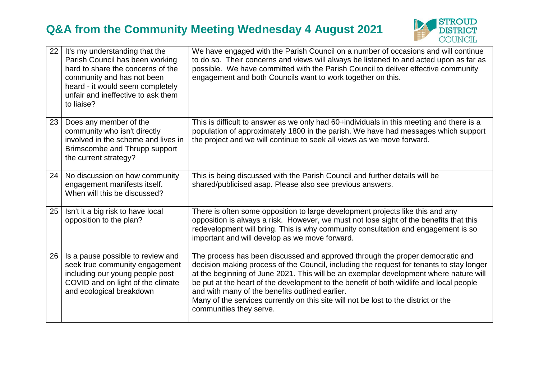

| 22 | It's my understanding that the<br>Parish Council has been working<br>hard to share the concerns of the<br>community and has not been<br>heard - it would seem completely<br>unfair and ineffective to ask them<br>to liaise? | We have engaged with the Parish Council on a number of occasions and will continue<br>to do so. Their concerns and views will always be listened to and acted upon as far as<br>possible. We have committed with the Parish Council to deliver effective community<br>engagement and both Councils want to work together on this.                                                                                                                                                                                                  |
|----|------------------------------------------------------------------------------------------------------------------------------------------------------------------------------------------------------------------------------|------------------------------------------------------------------------------------------------------------------------------------------------------------------------------------------------------------------------------------------------------------------------------------------------------------------------------------------------------------------------------------------------------------------------------------------------------------------------------------------------------------------------------------|
| 23 | Does any member of the<br>community who isn't directly<br>involved in the scheme and lives in<br>Brimscombe and Thrupp support<br>the current strategy?                                                                      | This is difficult to answer as we only had 60+individuals in this meeting and there is a<br>population of approximately 1800 in the parish. We have had messages which support<br>the project and we will continue to seek all views as we move forward.                                                                                                                                                                                                                                                                           |
| 24 | No discussion on how community<br>engagement manifests itself.<br>When will this be discussed?                                                                                                                               | This is being discussed with the Parish Council and further details will be<br>shared/publicised asap. Please also see previous answers.                                                                                                                                                                                                                                                                                                                                                                                           |
| 25 | Isn't it a big risk to have local<br>opposition to the plan?                                                                                                                                                                 | There is often some opposition to large development projects like this and any<br>opposition is always a risk. However, we must not lose sight of the benefits that this<br>redevelopment will bring. This is why community consultation and engagement is so<br>important and will develop as we move forward.                                                                                                                                                                                                                    |
| 26 | Is a pause possible to review and<br>seek true community engagement<br>including our young people post<br>COVID and on light of the climate<br>and ecological breakdown                                                      | The process has been discussed and approved through the proper democratic and<br>decision making process of the Council, including the request for tenants to stay longer<br>at the beginning of June 2021. This will be an exemplar development where nature will<br>be put at the heart of the development to the benefit of both wildlife and local people<br>and with many of the benefits outlined earlier.<br>Many of the services currently on this site will not be lost to the district or the<br>communities they serve. |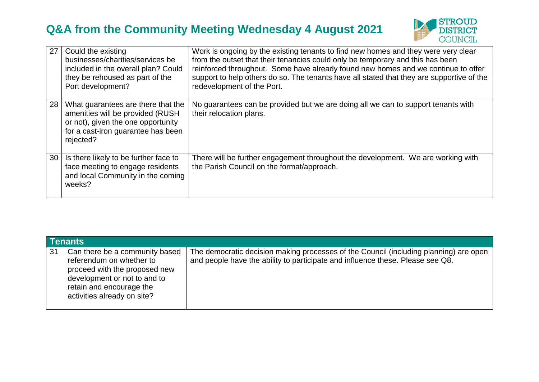

| 27              | Could the existing<br>businesses/charities/services be<br>included in the overall plan? Could<br>they be rehoused as part of the<br>Port development?            | Work is ongoing by the existing tenants to find new homes and they were very clear<br>from the outset that their tenancies could only be temporary and this has been<br>reinforced throughout. Some have already found new homes and we continue to offer<br>support to help others do so. The tenants have all stated that they are supportive of the<br>redevelopment of the Port. |
|-----------------|------------------------------------------------------------------------------------------------------------------------------------------------------------------|--------------------------------------------------------------------------------------------------------------------------------------------------------------------------------------------------------------------------------------------------------------------------------------------------------------------------------------------------------------------------------------|
| 28 <sup>1</sup> | What guarantees are there that the<br>amenities will be provided (RUSH)<br>or not), given the one opportunity<br>for a cast-iron guarantee has been<br>rejected? | No guarantees can be provided but we are doing all we can to support tenants with<br>their relocation plans.                                                                                                                                                                                                                                                                         |
| 30              | Is there likely to be further face to<br>face meeting to engage residents<br>and local Community in the coming<br>weeks?                                         | There will be further engagement throughout the development. We are working with<br>the Parish Council on the format/approach.                                                                                                                                                                                                                                                       |

| <b>Tenants</b> |                                                                                                                                                                                        |                                                                                                                                                                         |
|----------------|----------------------------------------------------------------------------------------------------------------------------------------------------------------------------------------|-------------------------------------------------------------------------------------------------------------------------------------------------------------------------|
| 31             | Can there be a community based<br>referendum on whether to<br>proceed with the proposed new<br>development or not to and to<br>retain and encourage the<br>activities already on site? | The democratic decision making processes of the Council (including planning) are open<br>and people have the ability to participate and influence these. Please see Q8. |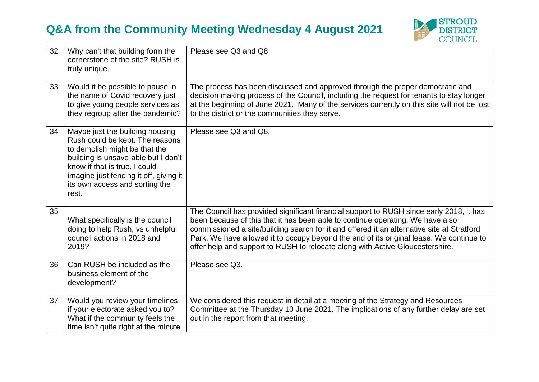

| 32 | Why can't that building form the<br>cornerstone of the site? RUSH is<br>truly unique.                                                                                                                                                                            | Please see Q3 and Q8                                                                                                                                                                                                                                                                                                                                                                                                                                |
|----|------------------------------------------------------------------------------------------------------------------------------------------------------------------------------------------------------------------------------------------------------------------|-----------------------------------------------------------------------------------------------------------------------------------------------------------------------------------------------------------------------------------------------------------------------------------------------------------------------------------------------------------------------------------------------------------------------------------------------------|
| 33 | Would it be possible to pause in<br>the name of Covid recovery just<br>to give young people services as<br>they regroup after the pandemic?                                                                                                                      | The process has been discussed and approved through the proper democratic and<br>decision making process of the Council, including the request for tenants to stay longer<br>at the beginning of June 2021. Many of the services currently on this site will not be lost<br>to the district or the communities they serve.                                                                                                                          |
| 34 | Maybe just the building housing<br>Rush could be kept. The reasons<br>to demolish might be that the<br>building is unsave-able but I don't<br>know if that is true. I could<br>imagine just fencing it off, giving it<br>its own access and sorting the<br>rest. | Please see Q3 and Q8.                                                                                                                                                                                                                                                                                                                                                                                                                               |
| 35 | What specifically is the council<br>doing to help Rush, vs unhelpful<br>council actions in 2018 and<br>2019?                                                                                                                                                     | The Council has provided significant financial support to RUSH since early 2018, it has<br>been because of this that it has been able to continue operating. We have also<br>commissioned a site/building search for it and offered it an alternative site at Stratford<br>Park. We have allowed it to occupy beyond the end of its original lease. We continue to<br>offer help and support to RUSH to relocate along with Active Gloucestershire. |
| 36 | Can RUSH be included as the<br>business element of the<br>development?                                                                                                                                                                                           | Please see Q3.                                                                                                                                                                                                                                                                                                                                                                                                                                      |
| 37 | Would you review your timelines<br>if your electorate asked you to?<br>What if the community feels the<br>time isn't quite right at the minute                                                                                                                   | We considered this request in detail at a meeting of the Strategy and Resources<br>Committee at the Thursday 10 June 2021. The implications of any further delay are set<br>out in the report from that meeting.                                                                                                                                                                                                                                    |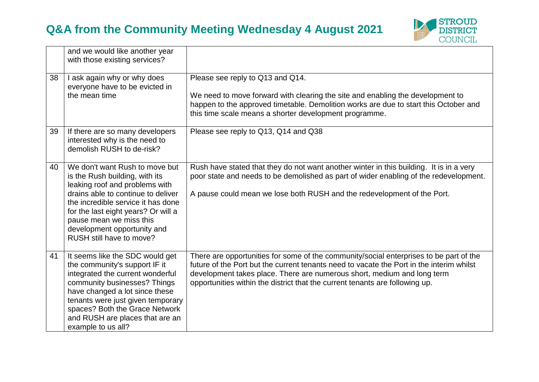

|    | and we would like another year<br>with those existing services?                                                                                                                                                                                                                                             |                                                                                                                                                                                                                                                                                                                                               |
|----|-------------------------------------------------------------------------------------------------------------------------------------------------------------------------------------------------------------------------------------------------------------------------------------------------------------|-----------------------------------------------------------------------------------------------------------------------------------------------------------------------------------------------------------------------------------------------------------------------------------------------------------------------------------------------|
| 38 | I ask again why or why does<br>everyone have to be evicted in<br>the mean time                                                                                                                                                                                                                              | Please see reply to Q13 and Q14.<br>We need to move forward with clearing the site and enabling the development to<br>happen to the approved timetable. Demolition works are due to start this October and<br>this time scale means a shorter development programme.                                                                          |
| 39 | If there are so many developers<br>interested why is the need to<br>demolish RUSH to de-risk?                                                                                                                                                                                                               | Please see reply to Q13, Q14 and Q38                                                                                                                                                                                                                                                                                                          |
| 40 | We don't want Rush to move but<br>is the Rush building, with its<br>leaking roof and problems with<br>drains able to continue to deliver<br>the incredible service it has done<br>for the last eight years? Or will a<br>pause mean we miss this<br>development opportunity and<br>RUSH still have to move? | Rush have stated that they do not want another winter in this building. It is in a very<br>poor state and needs to be demolished as part of wider enabling of the redevelopment.<br>A pause could mean we lose both RUSH and the redevelopment of the Port.                                                                                   |
| 41 | It seems like the SDC would get<br>the community's support IF it<br>integrated the current wonderful<br>community businesses? Things<br>have changed a lot since these<br>tenants were just given temporary<br>spaces? Both the Grace Network<br>and RUSH are places that are an<br>example to us all?      | There are opportunities for some of the community/social enterprises to be part of the<br>future of the Port but the current tenants need to vacate the Port in the interim whilst<br>development takes place. There are numerous short, medium and long term<br>opportunities within the district that the current tenants are following up. |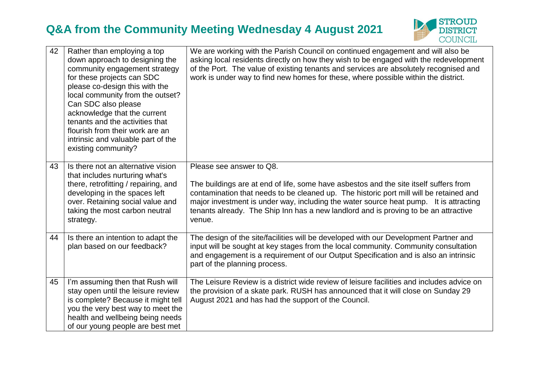

| 42 | Rather than employing a top<br>down approach to designing the<br>community engagement strategy<br>for these projects can SDC<br>please co-design this with the<br>local community from the outset?<br>Can SDC also please<br>acknowledge that the current<br>tenants and the activities that<br>flourish from their work are an<br>intrinsic and valuable part of the<br>existing community? | We are working with the Parish Council on continued engagement and will also be<br>asking local residents directly on how they wish to be engaged with the redevelopment<br>of the Port. The value of existing tenants and services are absolutely recognised and<br>work is under way to find new homes for these, where possible within the district.                                               |
|----|----------------------------------------------------------------------------------------------------------------------------------------------------------------------------------------------------------------------------------------------------------------------------------------------------------------------------------------------------------------------------------------------|-------------------------------------------------------------------------------------------------------------------------------------------------------------------------------------------------------------------------------------------------------------------------------------------------------------------------------------------------------------------------------------------------------|
| 43 | Is there not an alternative vision<br>that includes nurturing what's<br>there, retrofitting / repairing, and<br>developing in the spaces left<br>over. Retaining social value and<br>taking the most carbon neutral<br>strategy.                                                                                                                                                             | Please see answer to Q8.<br>The buildings are at end of life, some have asbestos and the site itself suffers from<br>contamination that needs to be cleaned up. The historic port mill will be retained and<br>major investment is under way, including the water source heat pump. It is attracting<br>tenants already. The Ship Inn has a new landlord and is proving to be an attractive<br>venue. |
| 44 | Is there an intention to adapt the<br>plan based on our feedback?                                                                                                                                                                                                                                                                                                                            | The design of the site/facilities will be developed with our Development Partner and<br>input will be sought at key stages from the local community. Community consultation<br>and engagement is a requirement of our Output Specification and is also an intrinsic<br>part of the planning process.                                                                                                  |
| 45 | I'm assuming then that Rush will<br>stay open until the leisure review<br>is complete? Because it might tell<br>you the very best way to meet the<br>health and wellbeing being needs<br>of our young people are best met                                                                                                                                                                    | The Leisure Review is a district wide review of leisure facilities and includes advice on<br>the provision of a skate park. RUSH has announced that it will close on Sunday 29<br>August 2021 and has had the support of the Council.                                                                                                                                                                 |